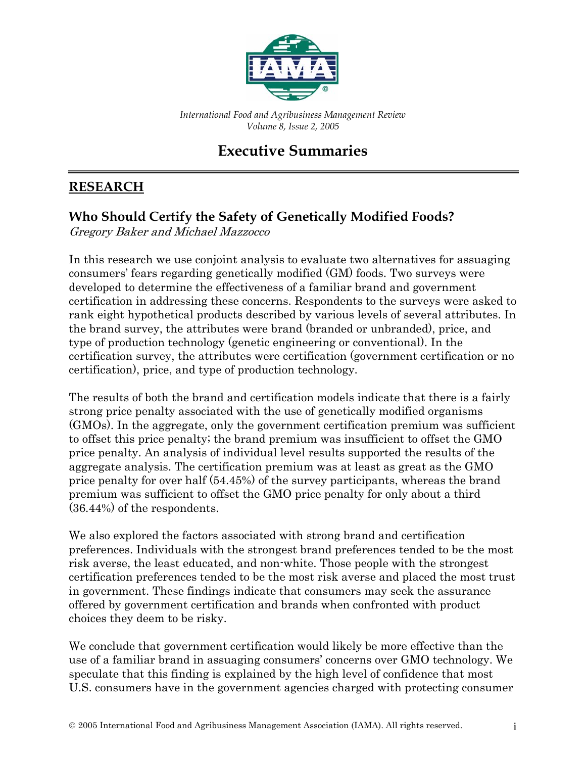

*International Food and Agribusiness Management Review Volume 8, Issue 2, 2005*

# **Executive Summaries**

### **RESEARCH**

### **Who Should Certify the Safety of Genetically Modified Foods?**

Gregory Baker and Michael Mazzocco

In this research we use conjoint analysis to evaluate two alternatives for assuaging consumers' fears regarding genetically modified (GM) foods. Two surveys were developed to determine the effectiveness of a familiar brand and government certification in addressing these concerns. Respondents to the surveys were asked to rank eight hypothetical products described by various levels of several attributes. In the brand survey, the attributes were brand (branded or unbranded), price, and type of production technology (genetic engineering or conventional). In the certification survey, the attributes were certification (government certification or no certification), price, and type of production technology.

The results of both the brand and certification models indicate that there is a fairly strong price penalty associated with the use of genetically modified organisms (GMOs). In the aggregate, only the government certification premium was sufficient to offset this price penalty; the brand premium was insufficient to offset the GMO price penalty. An analysis of individual level results supported the results of the aggregate analysis. The certification premium was at least as great as the GMO price penalty for over half (54.45%) of the survey participants, whereas the brand premium was sufficient to offset the GMO price penalty for only about a third (36.44%) of the respondents.

We also explored the factors associated with strong brand and certification preferences. Individuals with the strongest brand preferences tended to be the most risk averse, the least educated, and non-white. Those people with the strongest certification preferences tended to be the most risk averse and placed the most trust in government. These findings indicate that consumers may seek the assurance offered by government certification and brands when confronted with product choices they deem to be risky.

We conclude that government certification would likely be more effective than the use of a familiar brand in assuaging consumers' concerns over GMO technology. We speculate that this finding is explained by the high level of confidence that most U.S. consumers have in the government agencies charged with protecting consumer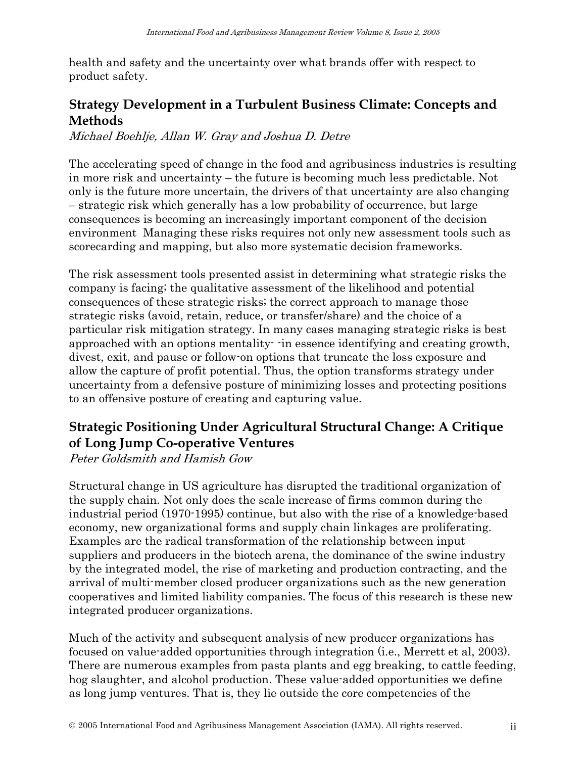health and safety and the uncertainty over what brands offer with respect to product safety.

## **Strategy Development in a Turbulent Business Climate: Concepts and Methods**

Michael Boehlje, Allan W. Gray and Joshua D. Detre

The accelerating speed of change in the food and agribusiness industries is resulting in more risk and uncertainty – the future is becoming much less predictable. Not only is the future more uncertain, the drivers of that uncertainty are also changing – strategic risk which generally has a low probability of occurrence, but large consequences is becoming an increasingly important component of the decision environment Managing these risks requires not only new assessment tools such as scorecarding and mapping, but also more systematic decision frameworks.

The risk assessment tools presented assist in determining what strategic risks the company is facing; the qualitative assessment of the likelihood and potential consequences of these strategic risks; the correct approach to manage those strategic risks (avoid, retain, reduce, or transfer/share) and the choice of a particular risk mitigation strategy. In many cases managing strategic risks is best approached with an options mentality- -in essence identifying and creating growth, divest, exit, and pause or follow-on options that truncate the loss exposure and allow the capture of profit potential. Thus, the option transforms strategy under uncertainty from a defensive posture of minimizing losses and protecting positions to an offensive posture of creating and capturing value.

### **Strategic Positioning Under Agricultural Structural Change: A Critique of Long Jump Co-operative Ventures**

Peter Goldsmith and Hamish Gow

Structural change in US agriculture has disrupted the traditional organization of the supply chain. Not only does the scale increase of firms common during the industrial period (1970-1995) continue, but also with the rise of a knowledge-based economy, new organizational forms and supply chain linkages are proliferating. Examples are the radical transformation of the relationship between input suppliers and producers in the biotech arena, the dominance of the swine industry by the integrated model, the rise of marketing and production contracting, and the arrival of multi-member closed producer organizations such as the new generation cooperatives and limited liability companies. The focus of this research is these new integrated producer organizations.

Much of the activity and subsequent analysis of new producer organizations has focused on value-added opportunities through integration (i.e., Merrett et al, 2003). There are numerous examples from pasta plants and egg breaking, to cattle feeding, hog slaughter, and alcohol production. These value-added opportunities we define as long jump ventures. That is, they lie outside the core competencies of the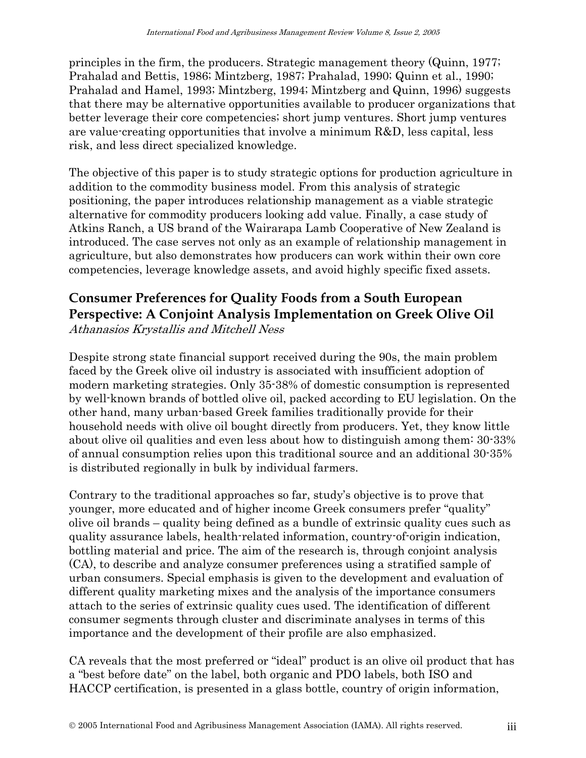principles in the firm, the producers. Strategic management theory (Quinn, 1977; Prahalad and Bettis, 1986; Mintzberg, 1987; Prahalad, 1990; Quinn et al., 1990; Prahalad and Hamel, 1993; Mintzberg, 1994; Mintzberg and Quinn, 1996) suggests that there may be alternative opportunities available to producer organizations that better leverage their core competencies; short jump ventures. Short jump ventures are value-creating opportunities that involve a minimum R&D, less capital, less risk, and less direct specialized knowledge.

The objective of this paper is to study strategic options for production agriculture in addition to the commodity business model. From this analysis of strategic positioning, the paper introduces relationship management as a viable strategic alternative for commodity producers looking add value. Finally, a case study of Atkins Ranch, a US brand of the Wairarapa Lamb Cooperative of New Zealand is introduced. The case serves not only as an example of relationship management in agriculture, but also demonstrates how producers can work within their own core competencies, leverage knowledge assets, and avoid highly specific fixed assets.

#### **Consumer Preferences for Quality Foods from a South European Perspective: A Conjoint Analysis Implementation on Greek Olive Oil**  Athanasios Krystallis and Mitchell Ness

Despite strong state financial support received during the 90s, the main problem faced by the Greek olive oil industry is associated with insufficient adoption of modern marketing strategies. Only 35-38% of domestic consumption is represented by well-known brands of bottled olive oil, packed according to EU legislation. On the other hand, many urban-based Greek families traditionally provide for their household needs with olive oil bought directly from producers. Yet, they know little about olive oil qualities and even less about how to distinguish among them: 30-33% of annual consumption relies upon this traditional source and an additional 30-35% is distributed regionally in bulk by individual farmers.

Contrary to the traditional approaches so far, study's objective is to prove that younger, more educated and of higher income Greek consumers prefer "quality" olive oil brands – quality being defined as a bundle of extrinsic quality cues such as quality assurance labels, health-related information, country-of-origin indication, bottling material and price. The aim of the research is, through conjoint analysis (CA), to describe and analyze consumer preferences using a stratified sample of urban consumers. Special emphasis is given to the development and evaluation of different quality marketing mixes and the analysis of the importance consumers attach to the series of extrinsic quality cues used. The identification of different consumer segments through cluster and discriminate analyses in terms of this importance and the development of their profile are also emphasized.

CA reveals that the most preferred or "ideal" product is an olive oil product that has a "best before date" on the label, both organic and PDO labels, both ISO and HACCP certification, is presented in a glass bottle, country of origin information,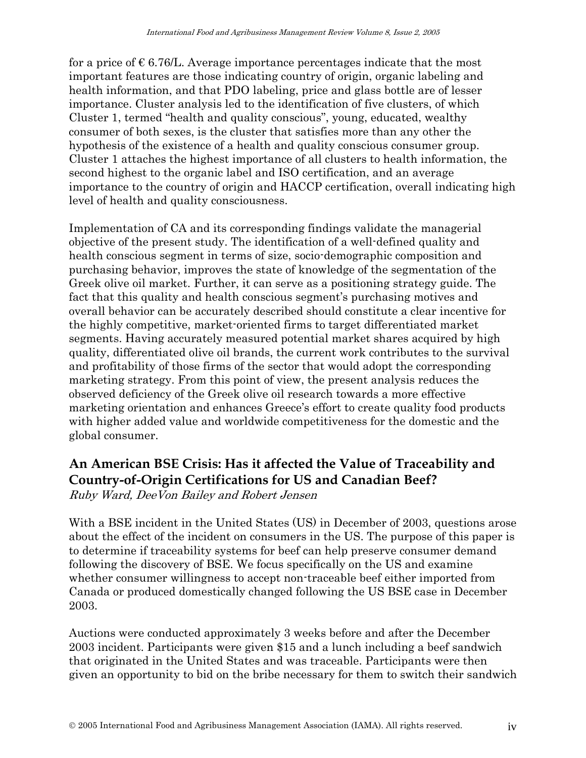for a price of  $\epsilon$  6.76/L. Average importance percentages indicate that the most important features are those indicating country of origin, organic labeling and health information, and that PDO labeling, price and glass bottle are of lesser importance. Cluster analysis led to the identification of five clusters, of which Cluster 1, termed "health and quality conscious", young, educated, wealthy consumer of both sexes, is the cluster that satisfies more than any other the hypothesis of the existence of a health and quality conscious consumer group. Cluster 1 attaches the highest importance of all clusters to health information, the second highest to the organic label and ISO certification, and an average importance to the country of origin and HACCP certification, overall indicating high level of health and quality consciousness.

Implementation of CA and its corresponding findings validate the managerial objective of the present study. The identification of a well-defined quality and health conscious segment in terms of size, socio-demographic composition and purchasing behavior, improves the state of knowledge of the segmentation of the Greek olive oil market. Further, it can serve as a positioning strategy guide. The fact that this quality and health conscious segment's purchasing motives and overall behavior can be accurately described should constitute a clear incentive for the highly competitive, market-oriented firms to target differentiated market segments. Having accurately measured potential market shares acquired by high quality, differentiated olive oil brands, the current work contributes to the survival and profitability of those firms of the sector that would adopt the corresponding marketing strategy. From this point of view, the present analysis reduces the observed deficiency of the Greek olive oil research towards a more effective marketing orientation and enhances Greece's effort to create quality food products with higher added value and worldwide competitiveness for the domestic and the global consumer.

## **An American BSE Crisis: Has it affected the Value of Traceability and Country-of-Origin Certifications for US and Canadian Beef?**

Ruby Ward, DeeVon Bailey and Robert Jensen

With a BSE incident in the United States (US) in December of 2003, questions arose about the effect of the incident on consumers in the US. The purpose of this paper is to determine if traceability systems for beef can help preserve consumer demand following the discovery of BSE. We focus specifically on the US and examine whether consumer willingness to accept non-traceable beef either imported from Canada or produced domestically changed following the US BSE case in December 2003.

Auctions were conducted approximately 3 weeks before and after the December 2003 incident. Participants were given \$15 and a lunch including a beef sandwich that originated in the United States and was traceable. Participants were then given an opportunity to bid on the bribe necessary for them to switch their sandwich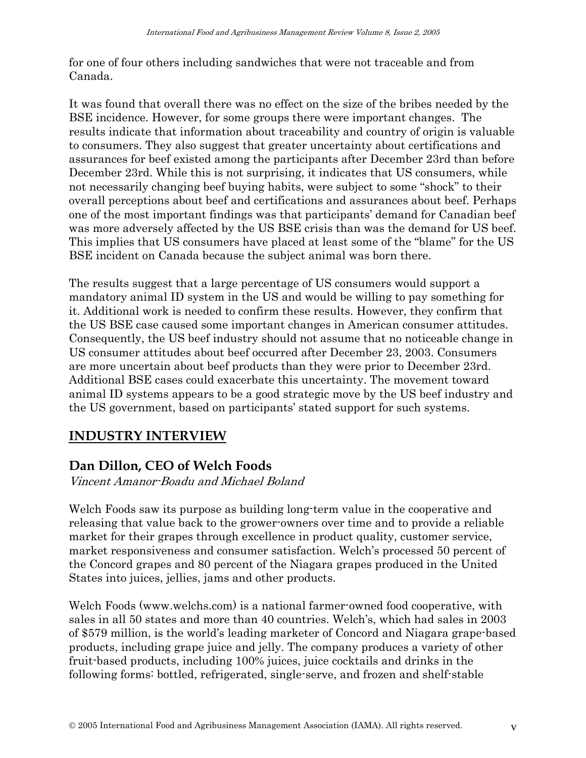for one of four others including sandwiches that were not traceable and from Canada.

It was found that overall there was no effect on the size of the bribes needed by the BSE incidence. However, for some groups there were important changes. The results indicate that information about traceability and country of origin is valuable to consumers. They also suggest that greater uncertainty about certifications and assurances for beef existed among the participants after December 23rd than before December 23rd. While this is not surprising, it indicates that US consumers, while not necessarily changing beef buying habits, were subject to some "shock" to their overall perceptions about beef and certifications and assurances about beef. Perhaps one of the most important findings was that participants' demand for Canadian beef was more adversely affected by the US BSE crisis than was the demand for US beef. This implies that US consumers have placed at least some of the "blame" for the US BSE incident on Canada because the subject animal was born there.

The results suggest that a large percentage of US consumers would support a mandatory animal ID system in the US and would be willing to pay something for it. Additional work is needed to confirm these results. However, they confirm that the US BSE case caused some important changes in American consumer attitudes. Consequently, the US beef industry should not assume that no noticeable change in US consumer attitudes about beef occurred after December 23, 2003. Consumers are more uncertain about beef products than they were prior to December 23rd. Additional BSE cases could exacerbate this uncertainty. The movement toward animal ID systems appears to be a good strategic move by the US beef industry and the US government, based on participants' stated support for such systems.

#### **INDUSTRY INTERVIEW**

#### **Dan Dillon, CEO of Welch Foods**

Vincent Amanor-Boadu and Michael Boland

Welch Foods saw its purpose as building long-term value in the cooperative and releasing that value back to the grower-owners over time and to provide a reliable market for their grapes through excellence in product quality, customer service, market responsiveness and consumer satisfaction. Welch's processed 50 percent of the Concord grapes and 80 percent of the Niagara grapes produced in the United States into juices, jellies, jams and other products.

Welch Foods (www.welchs.com) is a national farmer-owned food cooperative, with sales in all 50 states and more than 40 countries. Welch's, which had sales in 2003 of \$579 million, is the world's leading marketer of Concord and Niagara grape-based products, including grape juice and jelly. The company produces a variety of other fruit-based products, including 100% juices, juice cocktails and drinks in the following forms: bottled, refrigerated, single-serve, and frozen and shelf-stable